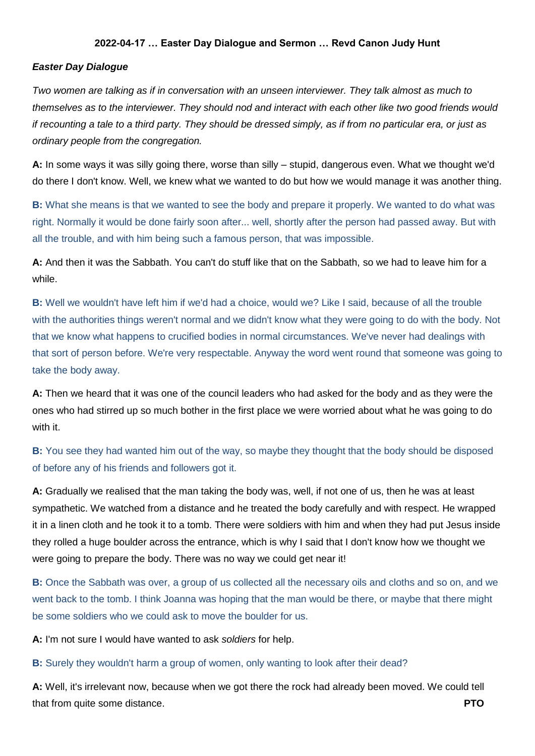## **2022-04-17 … Easter Day Dialogue and Sermon … Revd Canon Judy Hunt**

### *Easter Day Dialogue*

*Two women are talking as if in conversation with an unseen interviewer. They talk almost as much to themselves as to the interviewer. They should nod and interact with each other like two good friends would if recounting a tale to a third party. They should be dressed simply, as if from no particular era, or just as ordinary people from the congregation.*

**A:** In some ways it was silly going there, worse than silly – stupid, dangerous even. What we thought we'd do there I don't know. Well, we knew what we wanted to do but how we would manage it was another thing.

**B:** What she means is that we wanted to see the body and prepare it properly. We wanted to do what was right. Normally it would be done fairly soon after... well, shortly after the person had passed away. But with all the trouble, and with him being such a famous person, that was impossible.

**A:** And then it was the Sabbath. You can't do stuff like that on the Sabbath, so we had to leave him for a while.

**B:** Well we wouldn't have left him if we'd had a choice, would we? Like I said, because of all the trouble with the authorities things weren't normal and we didn't know what they were going to do with the body. Not that we know what happens to crucified bodies in normal circumstances. We've never had dealings with that sort of person before. We're very respectable. Anyway the word went round that someone was going to take the body away.

**A:** Then we heard that it was one of the council leaders who had asked for the body and as they were the ones who had stirred up so much bother in the first place we were worried about what he was going to do with it.

# **B:** You see they had wanted him out of the way, so maybe they thought that the body should be disposed of before any of his friends and followers got it.

**A:** Gradually we realised that the man taking the body was, well, if not one of us, then he was at least sympathetic. We watched from a distance and he treated the body carefully and with respect. He wrapped it in a linen cloth and he took it to a tomb. There were soldiers with him and when they had put Jesus inside they rolled a huge boulder across the entrance, which is why I said that I don't know how we thought we were going to prepare the body. There was no way we could get near it!

**B:** Once the Sabbath was over, a group of us collected all the necessary oils and cloths and so on, and we went back to the tomb. I think Joanna was hoping that the man would be there, or maybe that there might be some soldiers who we could ask to move the boulder for us.

**A:** I'm not sure I would have wanted to ask *soldiers* for help.

### **B:** Surely they wouldn't harm a group of women, only wanting to look after their dead?

**A:** Well, it's irrelevant now, because when we got there the rock had already been moved. We could tell that from quite some distance. **PTO**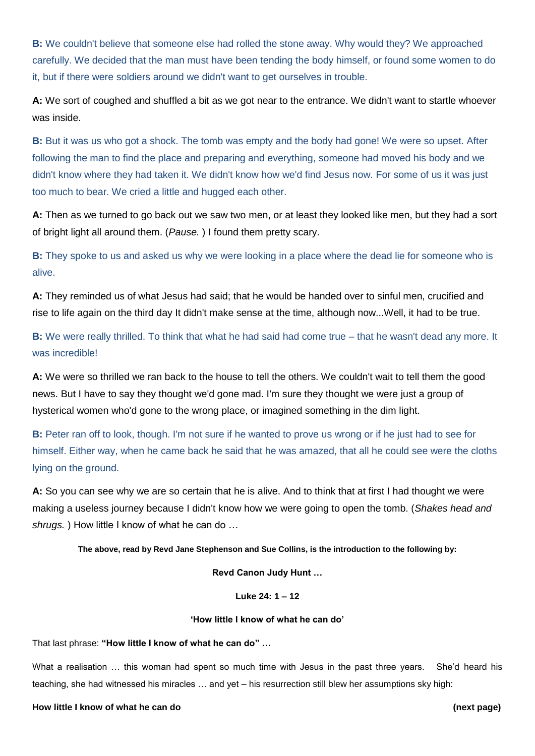**B:** We couldn't believe that someone else had rolled the stone away. Why would they? We approached carefully. We decided that the man must have been tending the body himself, or found some women to do it, but if there were soldiers around we didn't want to get ourselves in trouble.

**A:** We sort of coughed and shuffled a bit as we got near to the entrance. We didn't want to startle whoever was inside.

**B:** But it was us who got a shock. The tomb was empty and the body had gone! We were so upset. After following the man to find the place and preparing and everything, someone had moved his body and we didn't know where they had taken it. We didn't know how we'd find Jesus now. For some of us it was just too much to bear. We cried a little and hugged each other.

**A:** Then as we turned to go back out we saw two men, or at least they looked like men, but they had a sort of bright light all around them. (*Pause.* ) I found them pretty scary.

**B:** They spoke to us and asked us why we were looking in a place where the dead lie for someone who is alive.

**A:** They reminded us of what Jesus had said; that he would be handed over to sinful men, crucified and rise to life again on the third day It didn't make sense at the time, although now...Well, it had to be true.

**B:** We were really thrilled. To think that what he had said had come true – that he wasn't dead any more. It was incredible!

**A:** We were so thrilled we ran back to the house to tell the others. We couldn't wait to tell them the good news. But I have to say they thought we'd gone mad. I'm sure they thought we were just a group of hysterical women who'd gone to the wrong place, or imagined something in the dim light.

**B:** Peter ran off to look, though. I'm not sure if he wanted to prove us wrong or if he just had to see for himself. Either way, when he came back he said that he was amazed, that all he could see were the cloths lying on the ground.

**A:** So you can see why we are so certain that he is alive. And to think that at first I had thought we were making a useless journey because I didn't know how we were going to open the tomb. (*Shakes head and shrugs.* ) How little I know of what he can do …

**The above, read by Revd Jane Stephenson and Sue Collins, is the introduction to the following by:**

**Revd Canon Judy Hunt …**

**Luke 24: 1 – 12**

#### **'How little I know of what he can do'**

That last phrase: **"How little I know of what he can do" …** 

What a realisation ... this woman had spent so much time with Jesus in the past three years. She'd heard his teaching, she had witnessed his miracles … and yet – his resurrection still blew her assumptions sky high:

**How little I know of what he can do (next page)**